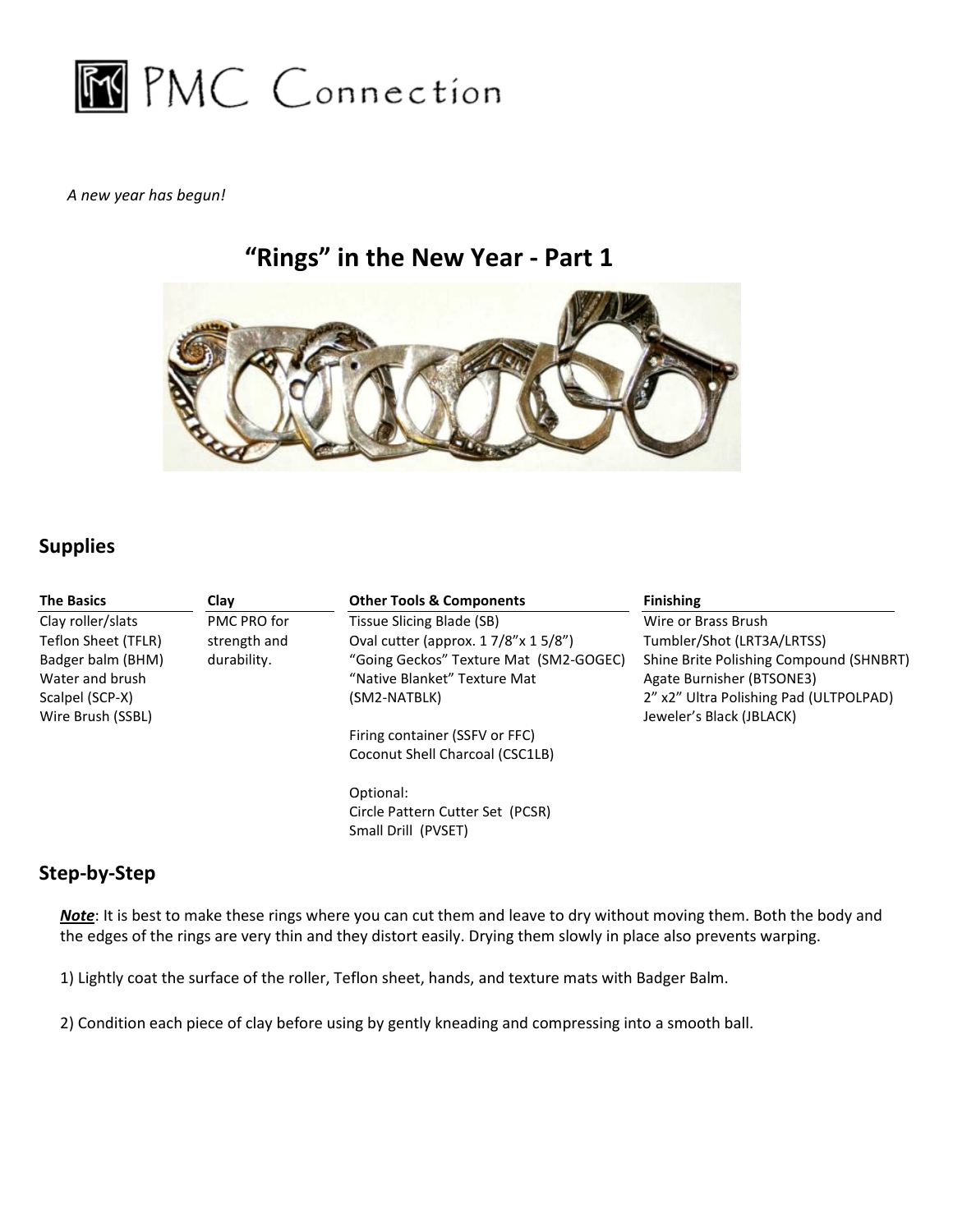

A new year has begun!

# "Rings" in the New Year - Part 1



# Supplies

| <b>The Basics</b>                                                            | Clay         | <b>Other Tools &amp; Components</b>                                                                                                                                                                                                     | <b>Finishing</b>                                                                                                                           |
|------------------------------------------------------------------------------|--------------|-----------------------------------------------------------------------------------------------------------------------------------------------------------------------------------------------------------------------------------------|--------------------------------------------------------------------------------------------------------------------------------------------|
| Clay roller/slats                                                            | PMC PRO for  | Tissue Slicing Blade (SB)                                                                                                                                                                                                               | Wire or Brass Brush                                                                                                                        |
| Teflon Sheet (TFLR)                                                          | strength and | Oval cutter (approx. $17/8$ " x $15/8$ ")                                                                                                                                                                                               | Tumbler/Shot (LRT3A/LRTSS)                                                                                                                 |
| Badger balm (BHM)<br>Water and brush<br>Scalpel (SCP-X)<br>Wire Brush (SSBL) | durability.  | "Going Geckos" Texture Mat (SM2-GOGEC)<br>"Native Blanket" Texture Mat<br>(SM2-NATBLK)                                                                                                                                                  | Shine Brite Polishing Compound (SHNBRT)<br>Agate Burnisher (BTSONE3)<br>2" x2" Ultra Polishing Pad (ULTPOLPAD)<br>Jeweler's Black (JBLACK) |
|                                                                              |              | Firing container (SSFV or FFC)                                                                                                                                                                                                          |                                                                                                                                            |
|                                                                              |              | Coconut Shell Charcoal (CSC1LB)                                                                                                                                                                                                         |                                                                                                                                            |
|                                                                              |              | Optional:                                                                                                                                                                                                                               |                                                                                                                                            |
|                                                                              |              | Circle Pattern Cutter Set (PCSR)                                                                                                                                                                                                        |                                                                                                                                            |
|                                                                              |              | Small Drill (PVSET)                                                                                                                                                                                                                     |                                                                                                                                            |
| Step-by-Step                                                                 |              |                                                                                                                                                                                                                                         |                                                                                                                                            |
|                                                                              |              | Note: It is best to make these rings where you can cut them and leave to dry without moving them. Both the body and<br>the edges of the rings are very thin and they distort easily. Drying them slowly in place also prevents warping. |                                                                                                                                            |
|                                                                              |              | 1) Lightly coat the surface of the roller, Teflon sheet, hands, and texture mats with Badger Balm.                                                                                                                                      |                                                                                                                                            |
|                                                                              |              | 2) Condition each piece of clay before using by gently kneading and compressing into a smooth ball.                                                                                                                                     |                                                                                                                                            |

## Step-by-Step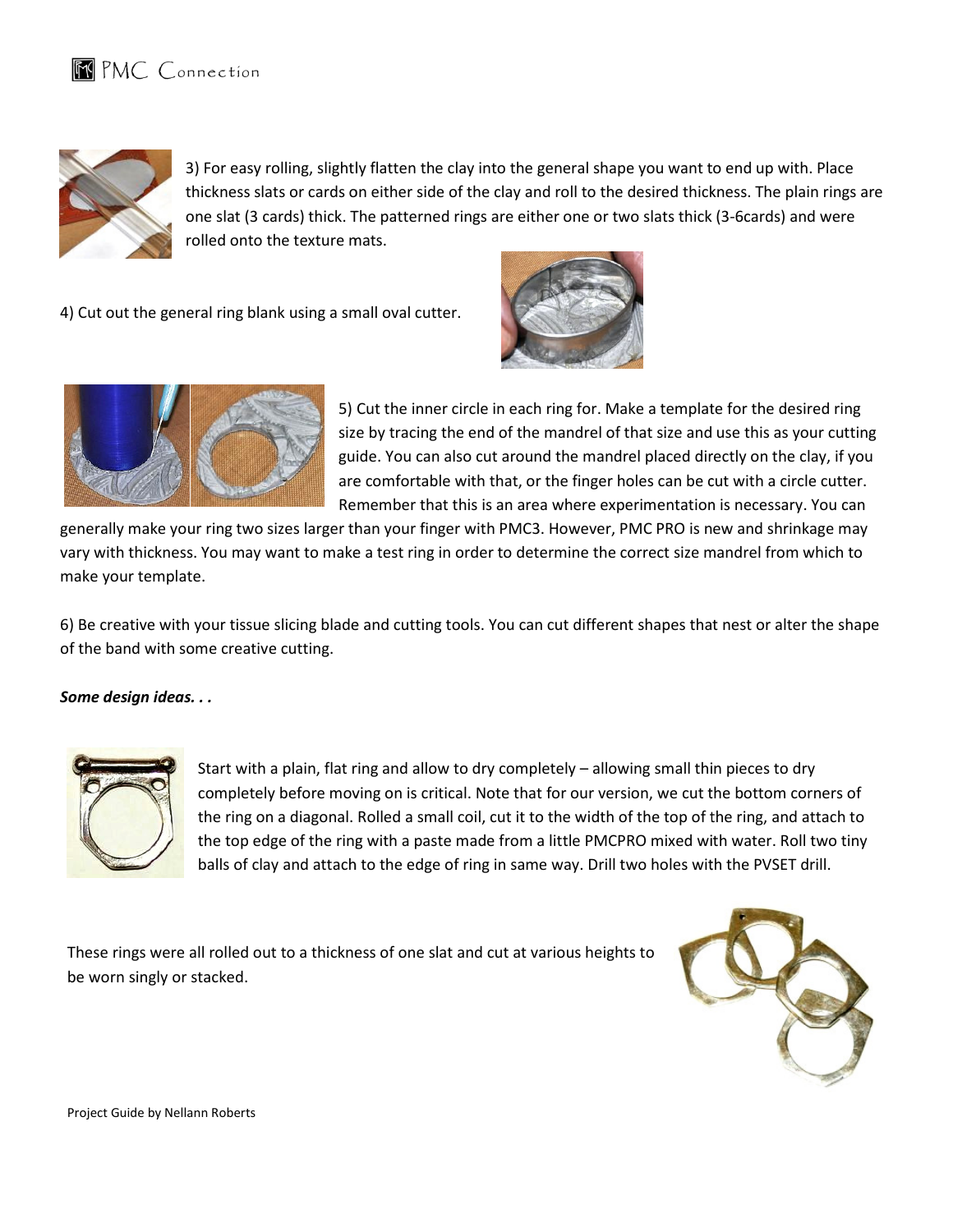



3) For easy rolling, slightly flatten the clay into the general shape you want to end up with. Place thickness slats or cards on either side of the clay and roll to the desired thickness. The plain rings are thickness slats or cards on either side of the clay and roll to the desired thickness. The plain rings<br>one slat (3 cards) thick. The patterned rings are either one or two slats thick (3-6cards) and were rolled onto the texture mats.

4) Cut out the general ring blank using a small oval cutter.





5) Cut the inner circle in each ring for. Make a template for the desired ring size by tracing the end of the mandrel of that size and use this as your cutting guide. You can also cut around the mandrel placed directly on the clay, if you are comfortable with that, or the finger holes can be cut with a circle cutter. Remember that this is an area where experimentation is necessary. You can

generally make your ring two sizes larger than your finger with PMC3. However, PMC PRO is new and shrinkage may vary with thickness. You may want to make a test ring in order to determine the correct size mandrel from which to make your template.

6) Be creative with your tissue slicing blade and cutting tools. You can cut different shapes that nest or alter the shape of the band with some creative cutting.

#### Some design ideas. . .



Start with a plain, flat ring and allow to dry completely – allowing small thin pieces to dry<br>completely before moving on is critical. Note that for our version, we cut the bottom corí completely before moving on is critical. Note that for our version, we cut the bottom corners of the ring on a diagonal. Rolled a small coil, cut it to the width of the top of the ring, and attach to the top edge of the ring with a paste made from a little PMCPRO mixed with water. Roll two tiny

These rings were all rolled out to a thickness of one slat and cut at various heights to be worn singly or stacked.

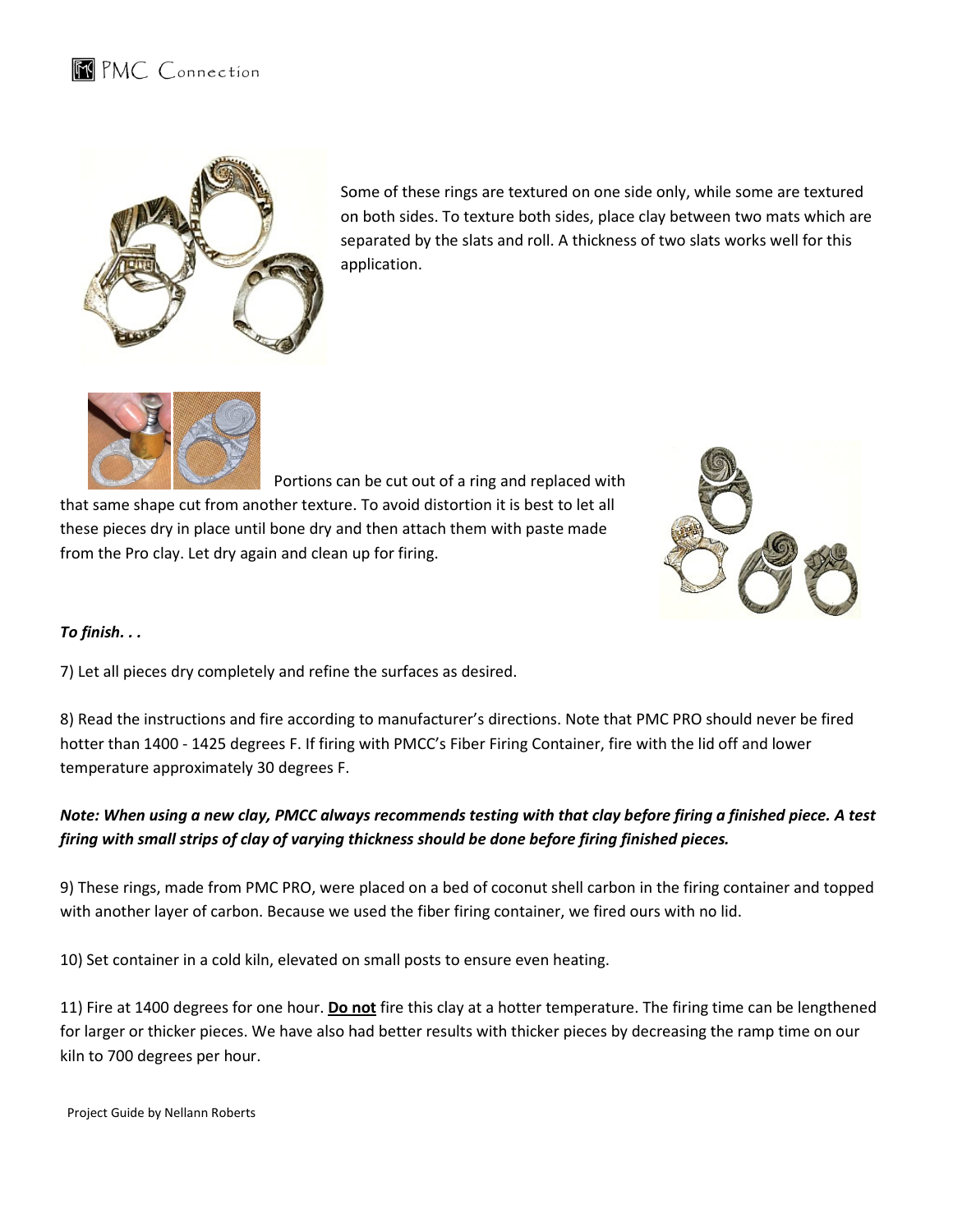

Some of these rings are textured on one side only, while some are textured on both sides. To texture both sides, place clay between two mats which are separated by the slats and roll. A thickness of two slats works well for this application.



Portions can be cut out of a ring and replaced with that same shape cut from another texture. To avoid distortion it is best to let all these pieces dry in place until bone dry and then attach them with paste made from the Pro clay. Let dry again and clean up for firing. be out out of a ring and replaced w<br>that same shape cut from another texture. To avoid distortion it is best to let a<br>these pieces dry in place until bone dry and then attach them with paste made



## To finish. . .

7) Let all pieces dry completely and refine the surfaces as desired.

8) Read the instructions and fire according to manufacturer's directions. Note that PMC PRO should never be fired hotter than 1400 - 1425 degrees F. If firing with PMCC's Fiber Firing Container, fire with the lid off and lower temperature approximately 30 degrees F. ies the dry again and clean up for firing.<br>The firing dry completely and refine the surfaces as desired.<br>Intructions and fire according to manufacturer's direct<br>10 - 1425 degrees F. If firing with PMCC's Fiber Firing

## Note: When using a new clay, PMCC always recommends testing with that clay before firing a finished piece. A test firing with small strips of clay of varying thickness should be done before firing finished pieces.

9) These rings, made from PMC PRO, were placed on a bed of coconut shell carbon in the firing container and topped with another layer of carbon. Because we used the fiber firing container, we fired ours with no lid.

10) Set container in a cold kiln, elevated on small posts to ensure even heating.

10) Set container in a cold kiln, elevated on small posts to ensure even heating.<br>11) Fire at 1400 degrees for one hour. <u>Do not</u> fire this clay at a hotter temperature. The firing time can be lengthened 11) Fire at 1400 degrees for one hour. <mark>Do not</mark> fire this clay at a hotter temperature. The firing time can be lengthen<br>for larger or thicker pieces. We have also had better results with thicker pieces by decreasing the ra kiln to 700 degrees per hour.